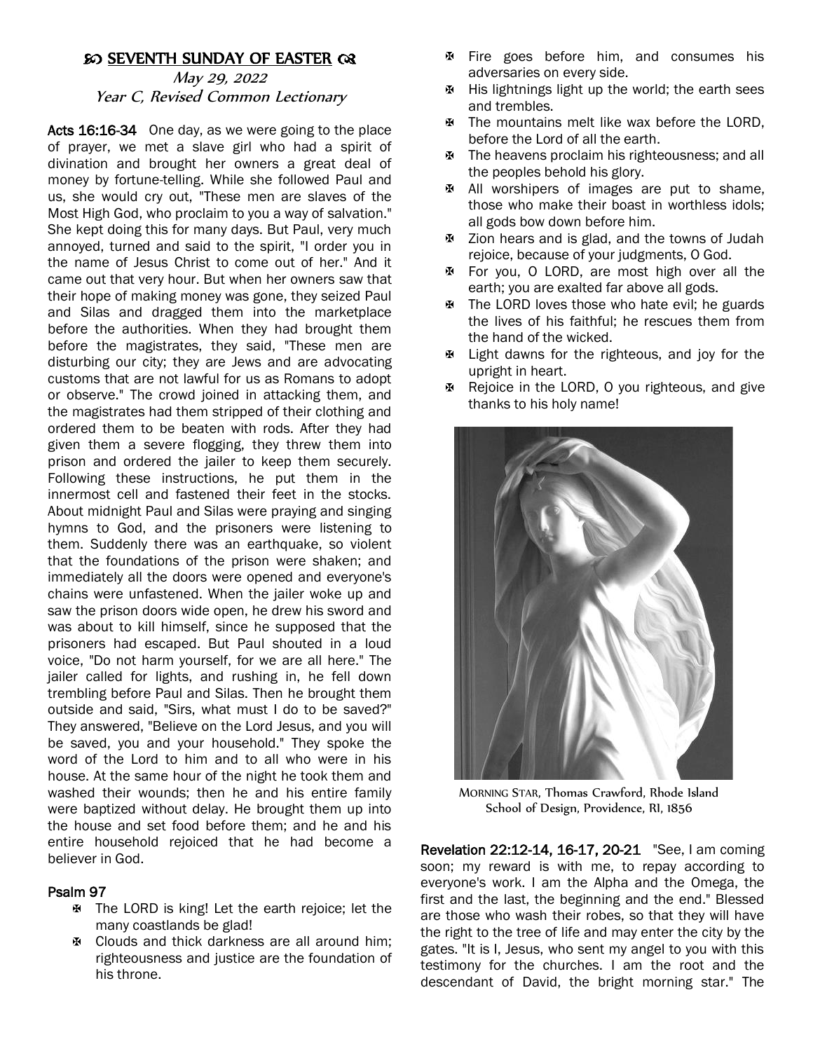## SO SEVENTH SUNDAY OF EASTER OR

## May 29, 2022 Year C, Revised Common Lectionary

Acts 16:16-34 One day, as we were going to the place of prayer, we met a slave girl who had a spirit of divination and brought her owners a great deal of money by fortune-telling. While she followed Paul and us, she would cry out, "These men are slaves of the Most High God, who proclaim to you a way of salvation." She kept doing this for many days. But Paul, very much annoyed, turned and said to the spirit, "I order you in the name of Jesus Christ to come out of her." And it came out that very hour. But when her owners saw that their hope of making money was gone, they seized Paul and Silas and dragged them into the marketplace before the authorities. When they had brought them before the magistrates, they said, "These men are disturbing our city; they are Jews and are advocating customs that are not lawful for us as Romans to adopt or observe." The crowd joined in attacking them, and the magistrates had them stripped of their clothing and ordered them to be beaten with rods. After they had given them a severe flogging, they threw them into prison and ordered the jailer to keep them securely. Following these instructions, he put them in the innermost cell and fastened their feet in the stocks. About midnight Paul and Silas were praying and singing hymns to God, and the prisoners were listening to them. Suddenly there was an earthquake, so violent that the foundations of the prison were shaken; and immediately all the doors were opened and everyone's chains were unfastened. When the jailer woke up and saw the prison doors wide open, he drew his sword and was about to kill himself, since he supposed that the prisoners had escaped. But Paul shouted in a loud voice, "Do not harm yourself, for we are all here." The jailer called for lights, and rushing in, he fell down trembling before Paul and Silas. Then he brought them outside and said, "Sirs, what must I do to be saved?" They answered, "Believe on the Lord Jesus, and you will be saved, you and your household." They spoke the word of the Lord to him and to all who were in his house. At the same hour of the night he took them and washed their wounds; then he and his entire family were baptized without delay. He brought them up into the house and set food before them; and he and his entire household rejoiced that he had become a believer in God.

## Psalm 97

- **E** The LORD is king! Let the earth rejoice; let the many coastlands be glad!
- Ŧ. Clouds and thick darkness are all around him; righteousness and justice are the foundation of his throne.
- Fire goes before him, and consumes his  $\mathbf{F}$ adversaries on every side.
- His lightnings light up the world; the earth sees 图 and trembles.
- Œ. The mountains melt like wax before the LORD, before the Lord of all the earth.
- The heavens proclaim his righteousness; and all ж the peoples behold his glory.
- **All worshipers of images are put to shame,** those who make their boast in worthless idols; all gods bow down before him.
- Zion hears and is glad, and the towns of Judah  $\mathbf{E}$ rejoice, because of your judgments, O God.
- For you, O LORD, are most high over all the earth; you are exalted far above all gods.
- $\mathbf{E}$ The LORD loves those who hate evil; he guards the lives of his faithful; he rescues them from the hand of the wicked.
- 田 Light dawns for the righteous, and joy for the upright in heart.
- Rejoice in the LORD, O you righteous, and give thanks to his holy name!



MORNING STAR, Thomas Crawford, Rhode Island School of Design, Providence, RI, 1856

Revelation 22:12-14, 16-17, 20-21 "See, I am coming soon; my reward is with me, to repay according to everyone's work. I am the Alpha and the Omega, the first and the last, the beginning and the end." Blessed are those who wash their robes, so that they will have the right to the tree of life and may enter the city by the gates. "It is I, Jesus, who sent my angel to you with this testimony for the churches. I am the root and the descendant of David, the bright morning star." The